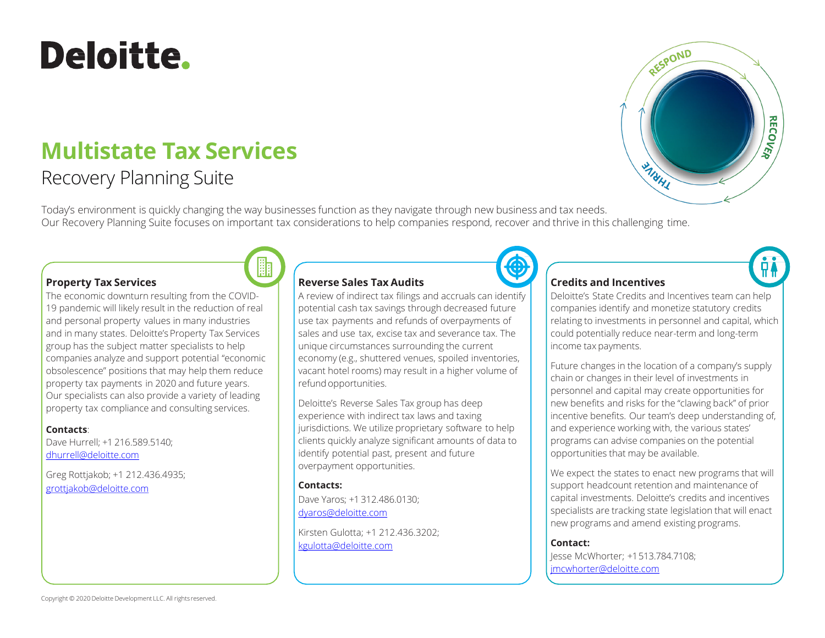# Deloitte.

# **Multistate Tax Services**

## Recovery Planning Suite

Today's environment is quickly changing the way businesses function as they navigate through new business and tax needs. Our Recovery Planning Suite focuses on important tax considerations to help companies respond, recover and thrive in this challenging time.



The economic downturn resulting from the COVID-19 pandemic will likely result in the reduction of real and personal property values in many industries and in many states. Deloitte's Property Tax Services group has the subject matter specialists to help companies analyze and support potential "economic obsolescence" positions that may help them reduce property tax payments in 2020 and future years. Our specialists can also provide a variety of leading property tax compliance and consulting services.

#### **Contacts**:

Dave Hurrell; +1 216.589.5140; [dhurrell@deloitte.com](mailto:dhurrell@deloitte.com)

Greg Rottjakob; +1 212.436.4935; [grottjakob@deloitte.com](mailto:grottjakob@deloitte.com)

#### **Reverse Sales Tax Audits**

A review of indirect tax filings and accruals can identify potential cash tax savings through decreased future use tax payments and refunds of overpayments of sales and use tax, excise tax and severance tax. The unique circumstances surrounding the current economy (e.g., shuttered venues, spoiled inventories, vacant hotel rooms) may result in a higher volume of refund opportunities.

Deloitte's Reverse Sales Tax group has deep experience with indirect tax laws and taxing jurisdictions. We utilize proprietary software to help clients quickly analyze significant amounts of data to identify potential past, present and future overpayment opportunities.

**Contacts:** Dave Yaros; +1 312.486.0130; [dyaros@deloitte.com](mailto:dyaros@deloitte.com)

Kirsten Gulotta; +1 212.436.3202; [kgulotta@deloitte.com](mailto:kgulotta@deloitte.com)



#### **Credits and Incentives**

Deloitte's State Credits and Incentives team can help companies identify and monetize statutory credits relating to investments in personnel and capital, which could potentially reduce near-term and long-term income tax payments.

RESPOND

**MAHA** 

**RECOVER** 

Future changes in the location of a company's supply chain or changes in their level of investments in personnel and capital may create opportunities for new benefits and risks for the "clawing back" of prior incentive benefits. Our team's deep understanding of, and experience working with, the various states' programs can advise companies on the potential opportunities that may be available.

We expect the states to enact new programs that will support headcount retention and maintenance of capital investments. Deloitte's credits and incentives specialists are tracking state legislation that will enact new programs and amend existing programs.

**Contact:**

Jesse McWhorter; +1513.784.7108; [jmcwhorter@deloitte.com](mailto:jmcwhorter@deloitte.com)